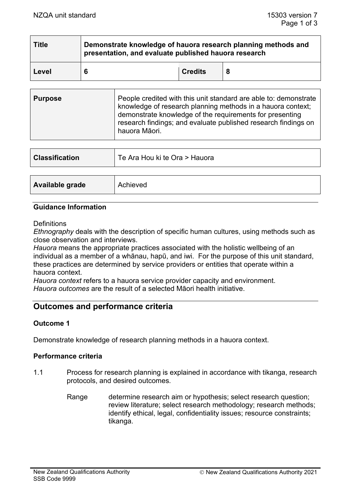| <b>Title</b> | Demonstrate knowledge of hauora research planning methods and<br>presentation, and evaluate published hauora research |                |  |  |
|--------------|-----------------------------------------------------------------------------------------------------------------------|----------------|--|--|
| Level        | 6                                                                                                                     | <b>Credits</b> |  |  |

| <b>Purpose</b> | People credited with this unit standard are able to: demonstrate<br>knowledge of research planning methods in a hauora context;<br>demonstrate knowledge of the requirements for presenting<br>research findings; and evaluate published research findings on<br>hauora Māori. |
|----------------|--------------------------------------------------------------------------------------------------------------------------------------------------------------------------------------------------------------------------------------------------------------------------------|
|                |                                                                                                                                                                                                                                                                                |

| <b>Classification</b> | Te Ara Hou ki te Ora > Hauora |
|-----------------------|-------------------------------|
|                       |                               |
| Available grade       | Achieved                      |

#### **Guidance Information**

**Definitions** 

*Ethnography* deals with the description of specific human cultures, using methods such as close observation and interviews.

*Hauora* means the appropriate practices associated with the holistic wellbeing of an individual as a member of a whānau, hapū, and iwi. For the purpose of this unit standard, these practices are determined by service providers or entities that operate within a hauora context.

*Hauora context* refers to a hauora service provider capacity and environment. *Hauora outcomes* are the result of a selected Māori health initiative.

## **Outcomes and performance criteria**

#### **Outcome 1**

Demonstrate knowledge of research planning methods in a hauora context.

#### **Performance criteria**

- 1.1 Process for research planning is explained in accordance with tikanga, research protocols, and desired outcomes.
	- Range determine research aim or hypothesis; select research question; review literature; select research methodology; research methods; identify ethical, legal, confidentiality issues; resource constraints; tikanga.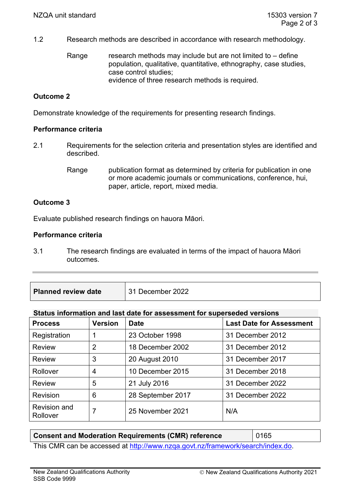1.2 Research methods are described in accordance with research methodology.

Range research methods may include but are not limited to  $-$  define population, qualitative, quantitative, ethnography, case studies, case control studies; evidence of three research methods is required.

## **Outcome 2**

Demonstrate knowledge of the requirements for presenting research findings.

### **Performance criteria**

- 2.1 Requirements for the selection criteria and presentation styles are identified and described.
	- Range publication format as determined by criteria for publication in one or more academic journals or communications, conference, hui, paper, article, report, mixed media.

### **Outcome 3**

Evaluate published research findings on hauora Māori.

### **Performance criteria**

- 3.1 The research findings are evaluated in terms of the impact of hauora Māori outcomes.
- **Planned review date** 31 December 2022

### **Status information and last date for assessment for superseded versions**

| <b>Process</b>                  | <b>Version</b> | <b>Date</b>       | <b>Last Date for Assessment</b> |
|---------------------------------|----------------|-------------------|---------------------------------|
| Registration                    |                | 23 October 1998   | 31 December 2012                |
| <b>Review</b>                   | 2              | 18 December 2002  | 31 December 2012                |
| <b>Review</b>                   | 3              | 20 August 2010    | 31 December 2017                |
| Rollover                        | 4              | 10 December 2015  | 31 December 2018                |
| <b>Review</b>                   | 5              | 21 July 2016      | 31 December 2022                |
| Revision                        | 6              | 28 September 2017 | 31 December 2022                |
| <b>Revision and</b><br>Rollover | 7              | 25 November 2021  | N/A                             |

| <b>Consent and Moderation Requirements (CMR) reference</b>                     | $\vert$ 0165 |  |
|--------------------------------------------------------------------------------|--------------|--|
| This CMR can be accessed at http://www.nzqa.govt.nz/framework/search/index.do. |              |  |